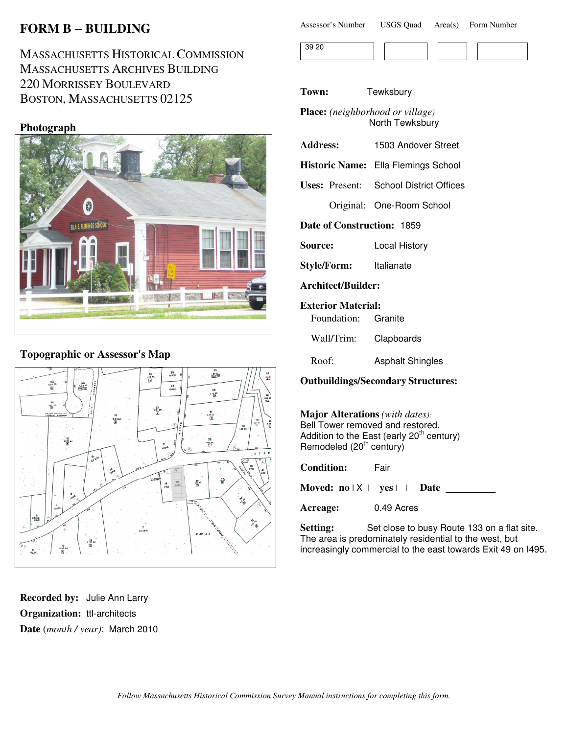# **FORM B** − **BUILDING**

# MASSACHUSETTS HISTORICAL COMMISSION MASSACHUSETTS ARCHIVES BUILDING 220 MORRISSEY BOULEVARD BOSTON, MASSACHUSETTS 02125

### **Photograph**



### **Topographic or Assessor's Map**



**Recorded by:** Julie Ann Larry **Organization:** ttl-architects **Date** (*month / year)*: March 2010

| Assessor's Number | <b>USGS Quad</b> | Area(s) | Form Number |
|-------------------|------------------|---------|-------------|
|-------------------|------------------|---------|-------------|

| $\sim$ $\sim$ |  |  |  |
|---------------|--|--|--|
|               |  |  |  |

**Town:** Tewksbury

**Place:** *(neighborhood or village)* North Tewksbury

- **Address:** 1503 Andover Street
- **Historic Name:** Ella Flemings School

**Uses:** Present: School District Offices

Original: One-Room School

**Date of Construction:** 1859

**Source:** Local History

**Style/Form:** Italianate

**Architect/Builder:**

#### **Exterior Material:**

Foundation: Granite

Wall/Trim: Clapboards

Roof: Asphalt Shingles

**Outbuildings/Secondary Structures:**

**Major Alterations** *(with dates):* Bell Tower removed and restored. Addition to the East (early 20<sup>th</sup> century) Remodeled  $(20<sup>th</sup>$  century)

**Condition:** Fair

**Moved: no** | X | **yes** | | **Date**

**Acreage:** 0.49 Acres

Setting: Set close to busy Route 133 on a flat site. The area is predominately residential to the west, but increasingly commercial to the east towards Exit 49 on I495.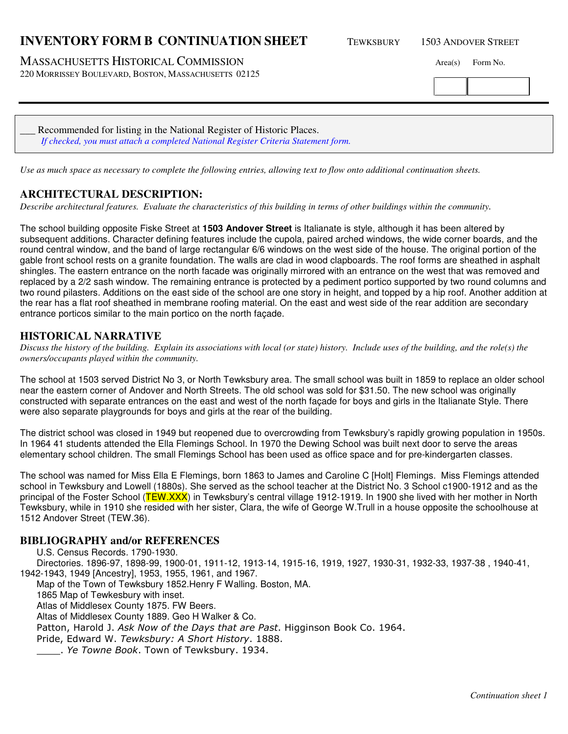## **INVENTORY FORM B CONTINUATION SHEET** TEWKSBURY 1503 ANDOVER STREET

MASSACHUSETTS HISTORICAL COMMISSION Area(s) Form No.

220 MORRISSEY BOULEVARD, BOSTON, MASSACHUSETTS 02125

Recommended for listing in the National Register of Historic Places. *If checked, you must attach a completed National Register Criteria Statement form.*

*Use as much space as necessary to complete the following entries, allowing text to flow onto additional continuation sheets.* 

### **ARCHITECTURAL DESCRIPTION:**

*Describe architectural features. Evaluate the characteristics of this building in terms of other buildings within the community.*

The school building opposite Fiske Street at **1503 Andover Street** is Italianate is style, although it has been altered by subsequent additions. Character defining features include the cupola, paired arched windows, the wide corner boards, and the round central window, and the band of large rectangular 6/6 windows on the west side of the house. The original portion of the gable front school rests on a granite foundation. The walls are clad in wood clapboards. The roof forms are sheathed in asphalt shingles. The eastern entrance on the north facade was originally mirrored with an entrance on the west that was removed and replaced by a 2/2 sash window. The remaining entrance is protected by a pediment portico supported by two round columns and two round pilasters. Additions on the east side of the school are one story in height, and topped by a hip roof. Another addition at the rear has a flat roof sheathed in membrane roofing material. On the east and west side of the rear addition are secondary entrance porticos similar to the main portico on the north façade.

#### **HISTORICAL NARRATIVE**

*Discuss the history of the building. Explain its associations with local (or state) history. Include uses of the building, and the role(s) the owners/occupants played within the community.*

The school at 1503 served District No 3, or North Tewksbury area. The small school was built in 1859 to replace an older school near the eastern corner of Andover and North Streets. The old school was sold for \$31.50. The new school was originally constructed with separate entrances on the east and west of the north façade for boys and girls in the Italianate Style. There were also separate playgrounds for boys and girls at the rear of the building.

The district school was closed in 1949 but reopened due to overcrowding from Tewksbury's rapidly growing population in 1950s. In 1964 41 students attended the Ella Flemings School. In 1970 the Dewing School was built next door to serve the areas elementary school children. The small Flemings School has been used as office space and for pre-kindergarten classes.

The school was named for Miss Ella E Flemings, born 1863 to James and Caroline C [Holt] Flemings. Miss Flemings attended school in Tewksbury and Lowell (1880s). She served as the school teacher at the District No. 3 School c1900-1912 and as the principal of the Foster School (TEW.XXX) in Tewksbury's central village 1912-1919. In 1900 she lived with her mother in North Tewksbury, while in 1910 she resided with her sister, Clara, the wife of George W.Trull in a house opposite the schoolhouse at 1512 Andover Street (TEW.36).

#### **BIBLIOGRAPHY and/or REFERENCES**

U.S. Census Records. 1790-1930. Directories. 1896-97, 1898-99, 1900-01, 1911-12, 1913-14, 1915-16, 1919, 1927, 1930-31, 1932-33, 1937-38 , 1940-41, 1942-1943, 1949 [Ancestry], 1953, 1955, 1961, and 1967. Map of the Town of Tewksbury 1852.Henry F Walling. Boston, MA. 1865 Map of Tewkesbury with inset. Atlas of Middlesex County 1875. FW Beers. Altas of Middlesex County 1889. Geo H Walker & Co. Patton, Harold J. Ask Now of the Days that are Past. Higginson Book Co. 1964. Pride, Edward W. Tewksbury: A Short History. 1888. . Ye Towne Book. Town of Tewksbury. 1934.